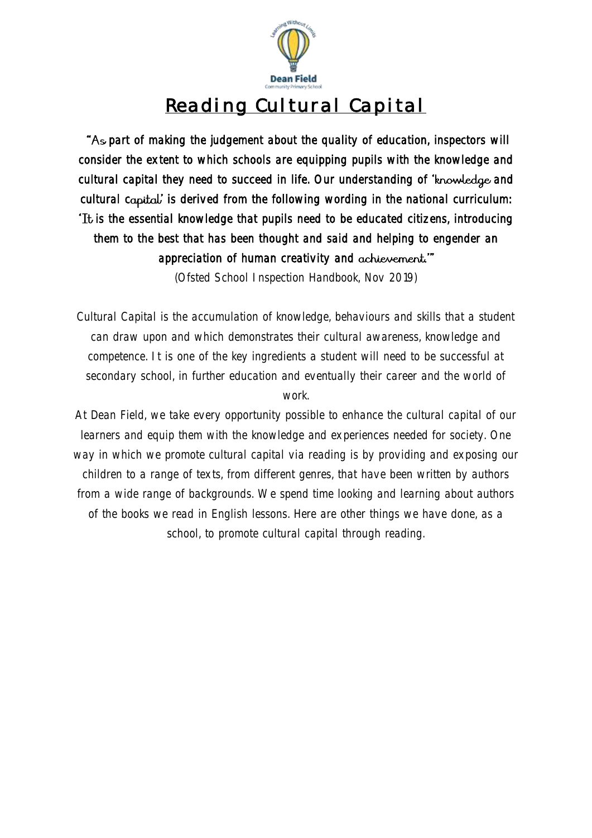

# Reading Cultural Capital

As part of making the judgement about the quality of education, inspectors will consider the extent to which schools are equipping pupils with the knowledge and cultural capital they need to succeed in life. Our understanding of 'knowledge and cultural capital is derived from the following wording in the national curriculum: It is the essential knowledge that pupils need to be educated citizens, introducing them to the best that has been thought and said and helping to engender an appreciation of human creativity and achievement."

(Ofsted School Inspection Handbook, Nov 2019)

Cultural Capital is the accumulation of knowledge, behaviours and skills that a student can draw upon and which demonstrates their cultural awareness, knowledge and competence. It is one of the key ingredients a student will need to be successful at secondary school, in further education and eventually their career and the world of work.

At Dean Field, we take every opportunity possible to enhance the cultural capital of our learners and equip them with the knowledge and experiences needed for society. One way in which we promote cultural capital via reading is by providing and exposing our children to a range of texts, from different genres, that have been written by authors from a wide range of backgrounds. We spend time looking and learning about authors of the books we read in English lessons. Here are other things we have done, as a school, to promote cultural capital through reading.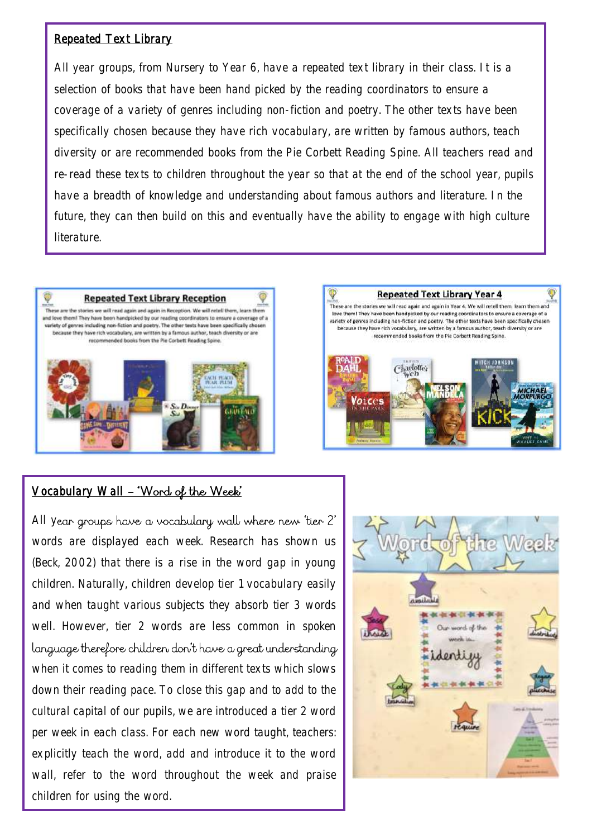#### Repeated Text Library

All year groups, from Nursery to Year 6, have a repeated text library in their class. It is a selection of books that have been hand picked by the reading coordinators to ensure a coverage of a variety of genres including non-fiction and poetry. The other texts have been specifically chosen because they have rich vocabulary, are written by famous authors, teach diversity or are recommended books from the Pie Corbett Reading Spine. All teachers read and re-read these texts to children throughout the year so that at the end of the school year, pupils have a breadth of knowledge and understanding about famous authors and literature. In the future, they can then build on this and eventually have the ability to engage with high culture **literature** 



### Vocabulary Wall - 'Word of the Week'

All year groups have a vocabulary wall where new 'tier 2' words are displayed each week. Research has shown us (Beck, 2002) that there is a rise in the word gap in young children. Naturally, children develop tier 1 vocabulary easily and when taught various subjects they absorb tier 3 words well. However, tier 2 words are less common in spoken language therefore children don't have a great understanding when it comes to reading them in different texts which slows down their reading pace. To close this gap and to add to the cultural capital of our pupils, we are introduced a tier 2 word per week in each class. For each new word taught, teachers: explicitly teach the word, add and introduce it to the word wall, refer to the word throughout the week and praise children for using the word.



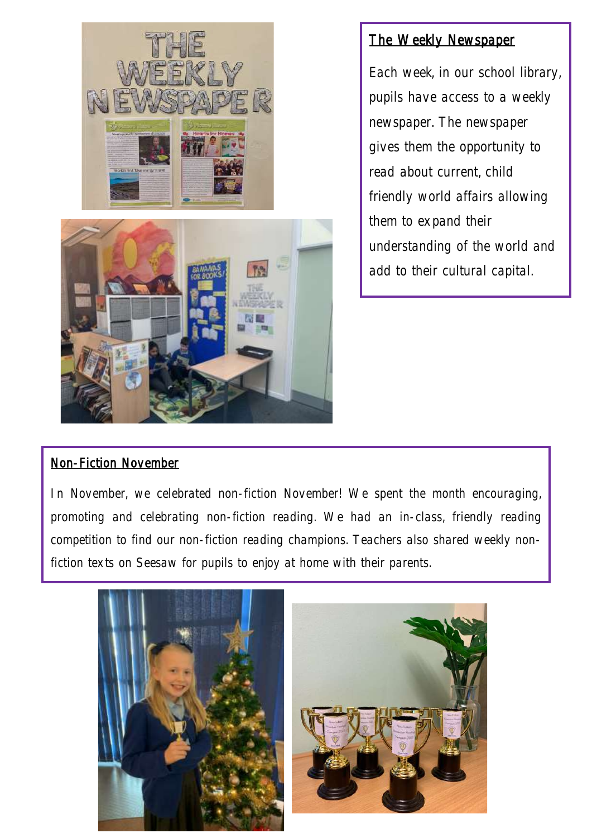

## The Weekly Newspaper

Each week, in our school library, pupils have access to a weekly newspaper. The newspaper gives them the opportunity to read about current, child friendly world affairs allowing them to expand their understanding of the world and add to their cultural capital.

### Non-Fiction November

In November, we celebrated non-fiction November! We spent the month encouraging, promoting and celebrating non-fiction reading. We had an in-class, friendly reading competition to find our non-fiction reading champions. Teachers also shared weekly nonfiction texts on Seesaw for pupils to enjoy at home with their parents.

Ī

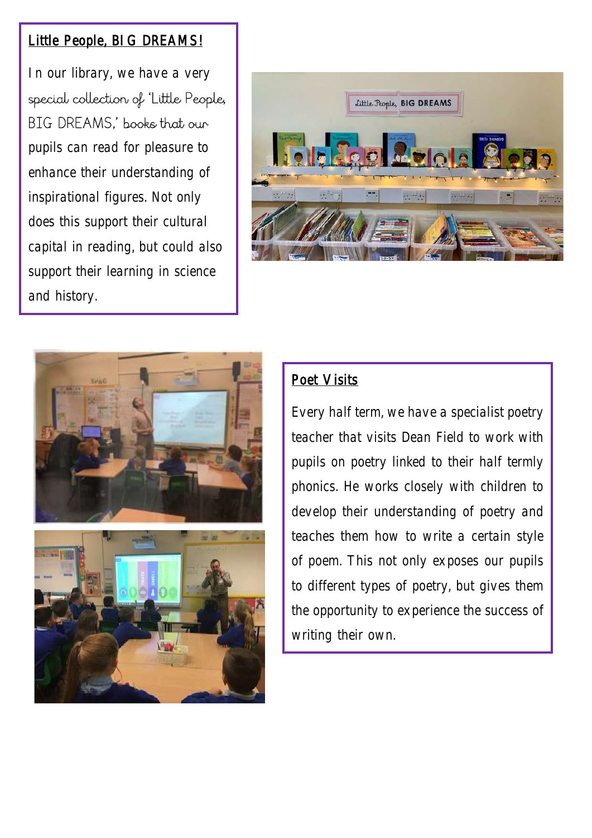## Little People, BIG DREAMS!

In our library, we have a very special collection of 'Little People, BIG DREAMS,' books that our pupils can read for pleasure to enhance their understanding of inspirational figures. Not only does this support their cultural capital in reading, but could also support their learning in science and history.







# Poet Visits

Every half term, we have a specialist poetry teacher that visits Dean Field to work with pupils on poetry linked to their half termly phonics. He works closely with children to develop their understanding of poetry and teaches them how to write a certain style of poem. This not only exposes our pupils to different types of poetry, but gives them the opportunity to experience the success of writing their own.